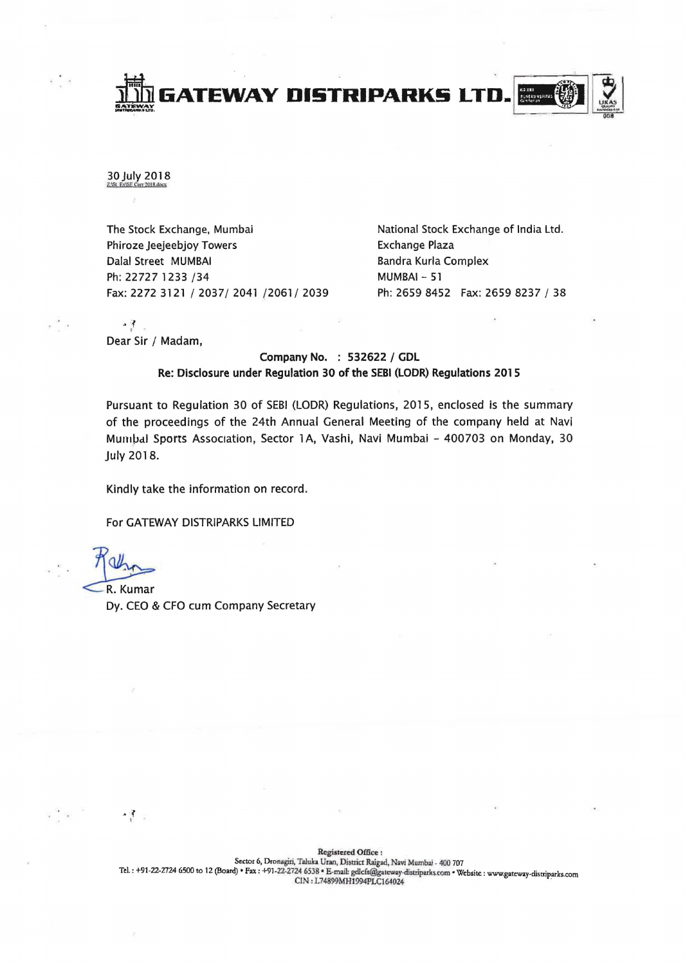

## 30 July 2018

The Stock Exchange, Mumbai Phiroze Jeejeebjoy Towers Dalal Street MUMBAI Ph: 22727 1233 /34 Fax: 2272 3121/2037/2041/2061/2039 Ph: 2659 8452 Fax: 2659 8237 / 38

National Stock Exchange of India Ltd. Exchange Plaza Bandra Kurla Complex MUMBAI - 51

 $\cdot$   $\frac{3}{1}$ Dear Sir / Madam,

## Company No. : 532622/ GDL Re: Disclosure under Regulation 30 of the SEBI (LODR) Regulations 2015

Pursuant to Regulation 30 of SEBI (LODR) Regulations, 2015, enclosed is the summary of the proceedings of the 24th Annual General Meeting of the company held at Navi Mumbal Sports Association, Sector 1A, Vashi, Navi Mumbai - 400703 on Monday, 30 July 2018.

Kindly take the information on record.

For GATEWAY DISTRIPARKS LIMITED

 $\frac{3}{2}$ .

R. Kumar<br>Dy. CEO & CFO cum Company Secretary